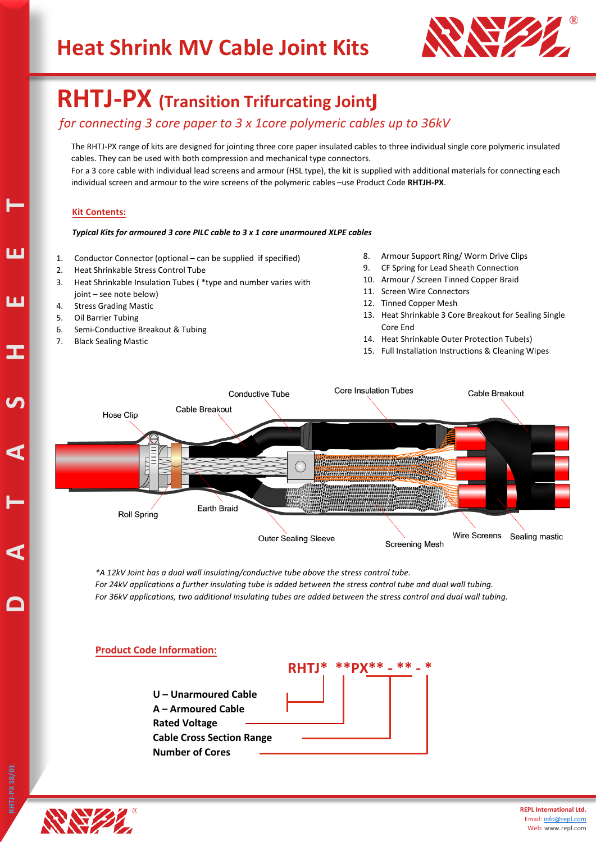

## **RHTJ-PX (Transition Trifurcating Joint**

### *for connecting 3 core paper to 3 x 1core polymeric cables up to 36kV*

The RHTJ-PX range of kits are designed for jointing three core paper insulated cables to three individual single core polymeric insulated cables. They can be used with both compression and mechanical type connectors. For a 3 core cable with individual lead screens and armour (HSL type), the kit is supplied with additional materials for connecting each individual screen and armour to the wire screens of the polymeric cables –use Product Code **RHTJH-PX**.

### **Kit Contents:**

#### *Typical Kits for armoured 3 core PILC cable to 3 x 1 core unarmoured XLPE cables*

- 1. Conductor Connector (optional can be supplied if specified)
- 2. Heat Shrinkable Stress Control Tube
- 3. Heat Shrinkable Insulation Tubes ( \*type and number varies with joint – see note below)
- 4. Stress Grading Mastic
- 5. Oil Barrier Tubing
- 6. Semi-Conductive Breakout & Tubing
- 7. Black Sealing Mastic
- 8. Armour Support Ring/ Worm Drive Clips
- 9. CF Spring for Lead Sheath Connection
- 10. Armour / Screen Tinned Copper Braid
- 11. Screen Wire Connectors
- 12. Tinned Copper Mesh
- 13. Heat Shrinkable 3 Core Breakout for Sealing Single Core End
- 14. Heat Shrinkable Outer Protection Tube(s)
- 15. Full Installation Instructions & Cleaning Wipes



*\*A 12kV Joint has a dual wall insulating/conductive tube above the stress control tube. For 24kV applications a further insulating tube is added between the stress control tube and dual wall tubing. For 36kV applications, two additional insulating tubes are added between the stress control and dual wall tubing.*

#### **Product Code Information:**





**D A** 

**T**

**A S H E**

**E**

**T**